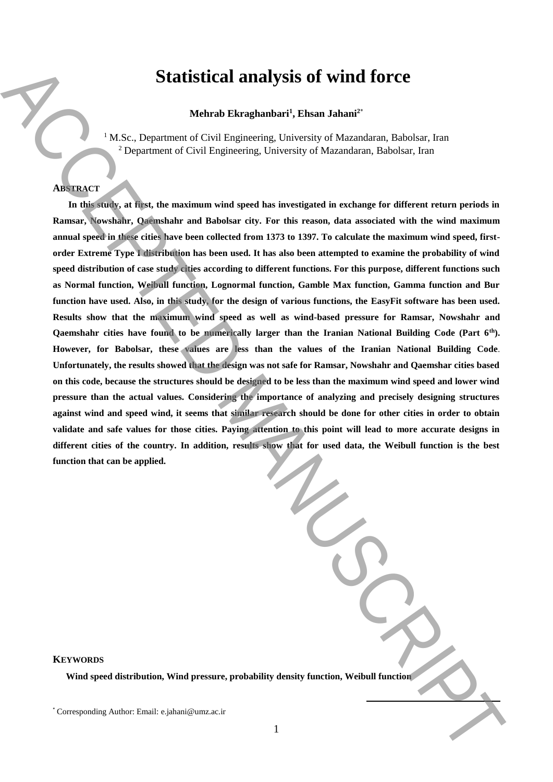# **Statistical analysis of wind force**

## **Mehrab Ekraghanbari<sup>1</sup> , Ehsan Jahani<sup>2</sup>**\*

<sup>1</sup> M.Sc., Department of Civil Engineering, University of Mazandaran, Babolsar, Iran <sup>2</sup> Department of Civil Engineering, University of Mazandaran, Babolsar, Iran

## **ABSTRACT**

**In this study, at first, the maximum wind speed has investigated in exchange for different return periods in Ramsar, Nowshahr, Qaemshahr and Babolsar city. For this reason, data associated with the wind maximum annual speed in these cities have been collected from 1373 to 1397. To calculate the maximum wind speed, firstorder Extreme Type I distribution has been used. It has also been attempted to examine the probability of wind speed distribution of case study cities according to different functions. For this purpose, different functions such as Normal function, Weibull function, Lognormal function, Gamble Max function, Gamma function and Bur**  function have used. Also, in this study, for the design of various functions, the EasyFit software has been used. **Results show that the maximum wind speed as well as wind-based pressure for Ramsar, Nowshahr and Qaemshahr cities have found to be numerically larger than the Iranian National Building Code (Part 6th). However, for Babolsar, these values are less than the values of the Iranian National Building Code**. **Unfortunately, the results showed that the design was not safe for Ramsar, Nowshahr and Qaemshar cities based on this code, because the structures should be designed to be less than the maximum wind speed and lower wind pressure than the actual values. Considering the importance of analyzing and precisely designing structures against wind and speed wind, it seems that similar research should be done for other cities in order to obtain validate and safe values for those cities. Paying attention to this point will lead to more accurate designs in different cities of the country. In addition, results show that for used data, the Weibull function is the best function that can be applied.** Statistical analysis of wind force<br>Vehence Vehence Newton Remandancel, Fishan Jahani<sup>2</sup><br>Vehence Vehence Corresponding Linearchy of Manuscript, Encode Corresponding Constraints<br>Analysis A. E. Depresented Corresponding Line

## **KEYWORDS**

**Wind speed distribution, Wind pressure, probability density function, Weibull function**

**.**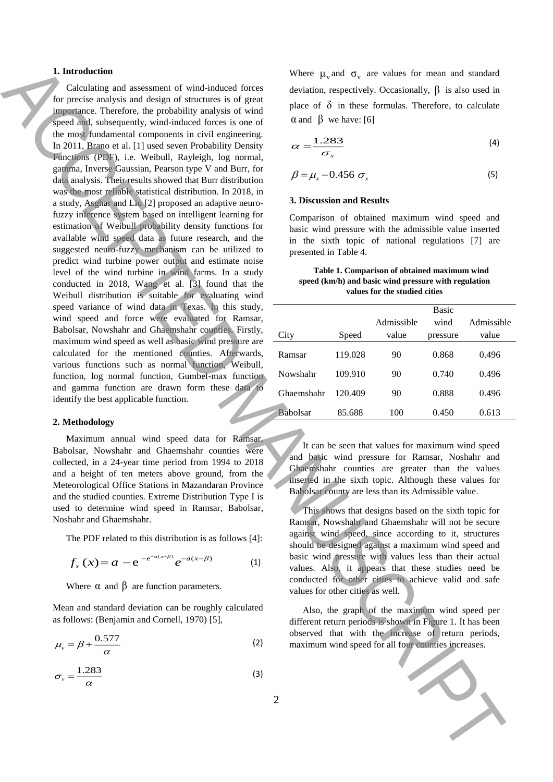### **1. Introduction**

Calculating and assessment of wind-induced forces for precise analysis and design of structures is of great importance. Therefore, the probability analysis of wind speed and, subsequently, wind-induced forces is one of the most fundamental components in civil engineering. In 2011, Brano et al. [1] used seven Probability Density Functions (PDF), i.e. Weibull*,* Rayleigh*,* log normal, gamma, Inverse Gaussian, Pearson type V and Burr, for data analysis. Their results showed that Burr distribution was the most reliable statistical distribution. In 2018, in a study, Asghar and Liu [2] proposed an adaptive neurofuzzy inference system based on intelligent learning for estimation of Weibull probability density functions for available wind speed data as future research, and the suggested neuro-fuzzy mechanism can be utilized to predict wind turbine power output and estimate noise level of the wind turbine in wind farms. In a study conducted in 2018, Wang et al. [3] found that the Weibull distribution is suitable for evaluating wind speed variance of wind data in Texas. In this study, wind speed and force were evaluated for Ramsar, Babolsar, Nowshahr and Ghaemshahr counties. Firstly, maximum wind speed as well as basic wind pressure are calculated for the mentioned counties. Afterwards, various functions such as normal function, Weibull, function, log normal function, Gumbel-max function and gamma function are drawn form these data to identify the best applicable function. **1.** Interaction and assessment of whist have  $\alpha$  when  $\alpha$  is equilibrius in the speed for all four counties increases. Accepted for all four counties in the speed of all four counties in the speed of all four counties

### **2. Methodology**

Maximum annual wind speed data for Ramsar, Babolsar, Nowshahr and Ghaemshahr counties were collected, in a 24-year time period from 1994 to 2018 and a height of ten meters above ground, from the Meteorological Office Stations in Mazandaran Province and the studied counties. Extreme Distribution Type I is used to determine wind speed in Ramsar, Babolsar, Noshahr and Ghaemshahr.

The PDF related to this distribution is as follows [4]:

$$
f_x(x) = a - e^{-e^{-a(x-\beta)}} e^{-a(x-\beta)}
$$
 (1)

Where  $\alpha$  and  $\beta$  are function parameters.

Mean and standard deviation can be roughly calculated as follows: (Benjamin and Cornell, 1970) [5],

$$
\mu_{\nu} = \beta + \frac{0.577}{\alpha} \tag{2}
$$

$$
\sigma_{\nu} = \frac{1.283}{\alpha} \tag{3}
$$

Where  $\mu_{v}$  and  $\sigma_{v}$  are values for mean and standard deviation, respectively. Occasionally,  $\beta$  is also used in place of  $\delta$  in these formulas. Therefore, to calculate  $\alpha$  and  $\beta$  we have: [6]

$$
\alpha = \frac{1.283}{\sigma_x} \tag{4}
$$

$$
\beta = \mu_x - 0.456 \sigma_x \tag{5}
$$

#### **3. Discussion and Results**

Comparison of obtained maximum wind speed and basic wind pressure with the admissible value inserted in the sixth topic of national regulations [7] are presented in Table 4.

#### **Table 1. Comparison of obtained maximum wind speed (km/h) and basic wind pressure with regulation values for the studied cities**

|                 |         |            | <b>Basic</b> |            |
|-----------------|---------|------------|--------------|------------|
|                 |         | Admissible | wind         | Admissible |
| City            | Speed   | value      | pressure     | value      |
| Ramsar          | 119.028 | 90         | 0.868        | 0.496      |
| Nowshahr        | 109.910 | 90         | 0.740        | 0.496      |
| Ghaemshahr      | 120.409 | 90         | 0.888        | 0.496      |
| <b>Babolsar</b> | 85.688  | 100        | 0.450        | 0.613      |

It can be seen that values for maximum wind speed and basic wind pressure for Ramsar, Noshahr and Ghaemshahr counties are greater than the values inserted in the sixth topic. Although these values for Babolsar county are less than its Admissible value.

This shows that designs based on the sixth topic for Ramsar, Nowshahr and Ghaemshahr will not be secure against wind speed, since according to it, structures should be designed against a maximum wind speed and basic wind pressure with values less than their actual values. Also, it appears that these studies need be conducted for other cities to achieve valid and safe values for other cities as well.

Also, the graph of the maximum wind speed per different return periods is shown in Figure 1. It has been observed that with the increase of return periods,